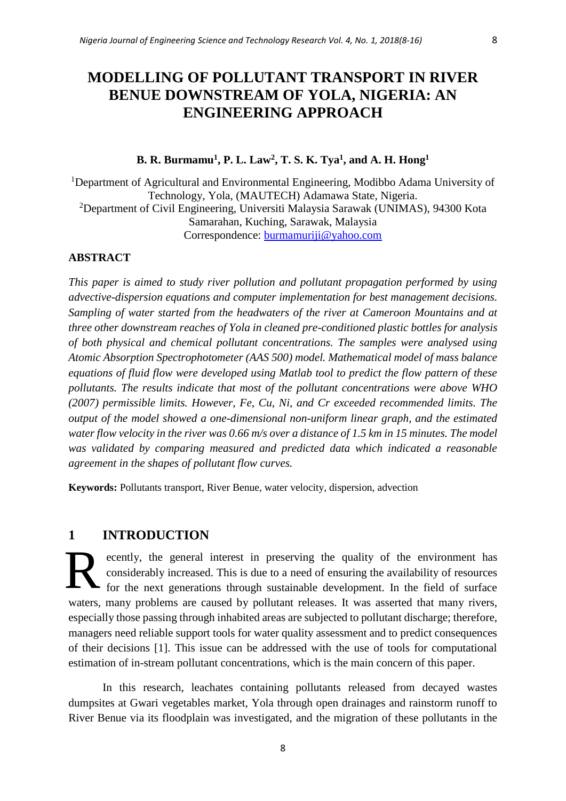# **MODELLING OF POLLUTANT TRANSPORT IN RIVER BENUE DOWNSTREAM OF YOLA, NIGERIA: AN ENGINEERING APPROACH**

### **B. R. Burmamu<sup>1</sup> , P. L. Law<sup>2</sup> , T. S. K. Tya<sup>1</sup> , and A. H. Hong<sup>1</sup>**

<sup>1</sup>Department of Agricultural and Environmental Engineering, Modibbo Adama University of Technology, Yola, (MAUTECH) Adamawa State, Nigeria. <sup>2</sup>Department of Civil Engineering, Universiti Malaysia Sarawak (UNIMAS), 94300 Kota Samarahan, Kuching, Sarawak, Malaysia Correspondence: [burmamuriji@yahoo.com](mailto:burmamuriji@yahoo.com)

#### **ABSTRACT**

*This paper is aimed to study river pollution and pollutant propagation performed by using advective-dispersion equations and computer implementation for best management decisions. Sampling of water started from the headwaters of the river at Cameroon Mountains and at three other downstream reaches of Yola in cleaned pre-conditioned plastic bottles for analysis of both physical and chemical pollutant concentrations. The samples were analysed using Atomic Absorption Spectrophotometer (AAS 500) model. Mathematical model of mass balance equations of fluid flow were developed using Matlab tool to predict the flow pattern of these pollutants. The results indicate that most of the pollutant concentrations were above WHO (2007) permissible limits. However, Fe, Cu, Ni, and Cr exceeded recommended limits. The output of the model showed a one-dimensional non-uniform linear graph, and the estimated water flow velocity in the river was 0.66 m/s over a distance of 1.5 km in 15 minutes. The model was validated by comparing measured and predicted data which indicated a reasonable agreement in the shapes of pollutant flow curves.*

**Keywords:** Pollutants transport, River Benue, water velocity, dispersion, advection

## **1 INTRODUCTION**

ecently, the general interest in preserving the quality of the environment has considerably increased. This is due to a need of ensuring the availability of resources for the next generations through sustainable development. In the field of surface waters, many problems are caused by pollutant releases. It was asserted that many rivers, especially those passing through inhabited areas are subjected to pollutant discharge; therefore, managers need reliable support tools for water quality assessment and to predict consequences of their decisions [1]. This issue can be addressed with the use of tools for computational estimation of in-stream pollutant concentrations, which is the main concern of this paper. R

In this research, leachates containing pollutants released from decayed wastes dumpsites at Gwari vegetables market, Yola through open drainages and rainstorm runoff to River Benue via its floodplain was investigated, and the migration of these pollutants in the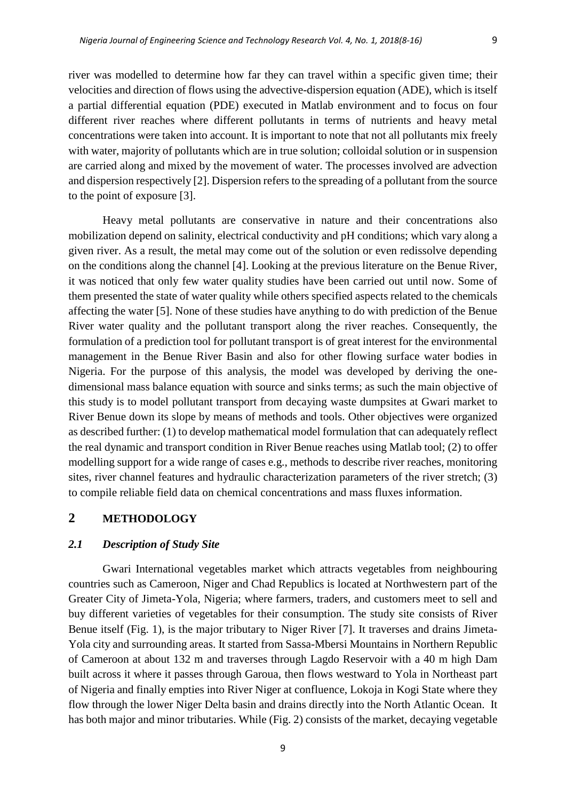river was modelled to determine how far they can travel within a specific given time; their velocities and direction of flows using the advective-dispersion equation (ADE), which is itself a partial differential equation (PDE) executed in Matlab environment and to focus on four different river reaches where different pollutants in terms of nutrients and heavy metal concentrations were taken into account. It is important to note that not all pollutants mix freely with water, majority of pollutants which are in true solution; colloidal solution or in suspension are carried along and mixed by the movement of water. The processes involved are advection and dispersion respectively [2]. Dispersion refers to the spreading of a pollutant from the source to the point of exposure [3].

Heavy metal pollutants are conservative in nature and their concentrations also mobilization depend on salinity, electrical conductivity and pH conditions; which vary along a given river. As a result, the metal may come out of the solution or even redissolve depending on the conditions along the channel [4]. Looking at the previous literature on the Benue River, it was noticed that only few water quality studies have been carried out until now. Some of them presented the state of water quality while others specified aspects related to the chemicals affecting the water [5]. None of these studies have anything to do with prediction of the Benue River water quality and the pollutant transport along the river reaches. Consequently, the formulation of a prediction tool for pollutant transport is of great interest for the environmental management in the Benue River Basin and also for other flowing surface water bodies in Nigeria. For the purpose of this analysis, the model was developed by deriving the onedimensional mass balance equation with source and sinks terms; as such the main objective of this study is to model pollutant transport from decaying waste dumpsites at Gwari market to River Benue down its slope by means of methods and tools. Other objectives were organized as described further: (1) to develop mathematical model formulation that can adequately reflect the real dynamic and transport condition in River Benue reaches using Matlab tool; (2) to offer modelling support for a wide range of cases e.g., methods to describe river reaches, monitoring sites, river channel features and hydraulic characterization parameters of the river stretch; (3) to compile reliable field data on chemical concentrations and mass fluxes information.

## **2 METHODOLOGY**

#### *2.1 Description of Study Site*

Gwari International vegetables market which attracts vegetables from neighbouring countries such as Cameroon, Niger and Chad Republics is located at Northwestern part of the Greater City of Jimeta-Yola, Nigeria; where farmers, traders, and customers meet to sell and buy different varieties of vegetables for their consumption. The study site consists of River Benue itself (Fig. 1), is the major tributary to Niger River [7]. It traverses and drains Jimeta-Yola city and surrounding areas. It started from Sassa-Mbersi Mountains in Northern Republic of Cameroon at about 132 m and traverses through Lagdo Reservoir with a 40 m high Dam built across it where it passes through Garoua, then flows westward to Yola in Northeast part of Nigeria and finally empties into River Niger at confluence, Lokoja in Kogi State where they flow through the lower Niger Delta basin and drains directly into the North Atlantic Ocean. It has both major and minor tributaries. While (Fig. 2) consists of the market, decaying vegetable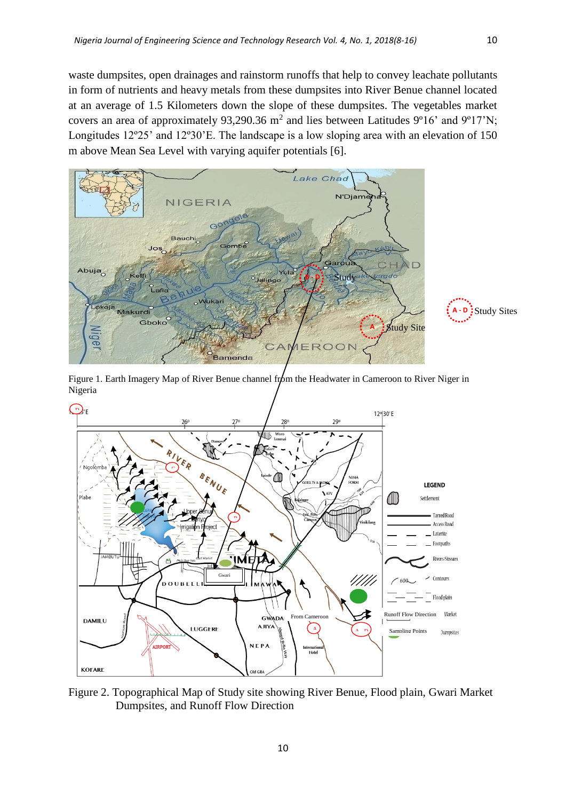waste dumpsites, open drainages and rainstorm runoffs that help to convey leachate pollutants in form of nutrients and heavy metals from these dumpsites into River Benue channel located at an average of 1.5 Kilometers down the slope of these dumpsites. The vegetables market covers an area of approximately 93,290.36  $m^2$  and lies between Latitudes 9°16' and 9°17'N; Longitudes 12º25' and 12º30'E. The landscape is a low sloping area with an elevation of 150 m above Mean Sea Level with varying aquifer potentials [6].



Study Sites **A - D**





Figure 2. Topographical Map of Study site showing River Benue, Flood plain, Gwari Market Dumpsites, and Runoff Flow Direction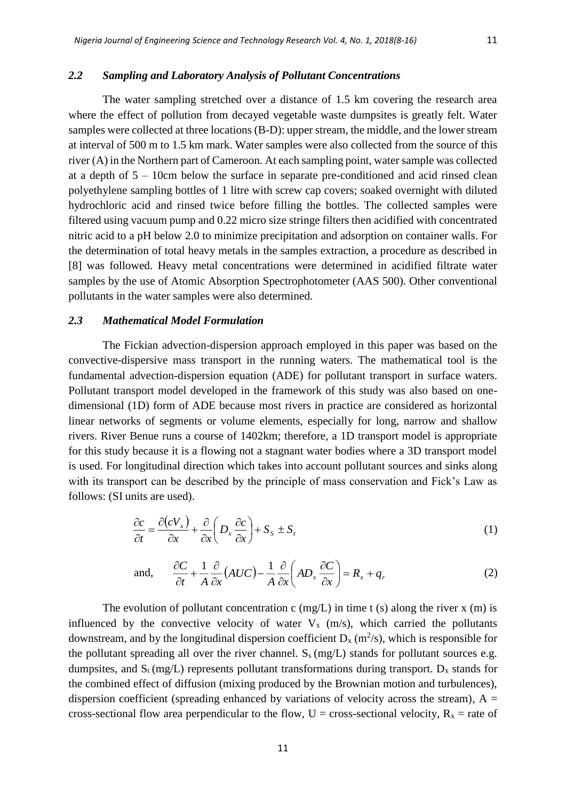#### *2.2 Sampling and Laboratory Analysis of Pollutant Concentrations*

The water sampling stretched over a distance of 1.5 km covering the research area where the effect of pollution from decayed vegetable waste dumpsites is greatly felt. Water samples were collected at three locations (B-D): upper stream, the middle, and the lower stream at interval of 500 m to 1.5 km mark. Water samples were also collected from the source of this river (A) in the Northern part of Cameroon. At each sampling point, water sample was collected at a depth of 5 – 10cm below the surface in separate pre-conditioned and acid rinsed clean polyethylene sampling bottles of 1 litre with screw cap covers; soaked overnight with diluted hydrochloric acid and rinsed twice before filling the bottles. The collected samples were filtered using vacuum pump and 0.22 micro size stringe filters then acidified with concentrated nitric acid to a pH below 2.0 to minimize precipitation and adsorption on container walls. For the determination of total heavy metals in the samples extraction, a procedure as described in [8] was followed. Heavy metal concentrations were determined in acidified filtrate water samples by the use of Atomic Absorption Spectrophotometer (AAS 500). Other conventional pollutants in the water samples were also determined.

#### *2.3 Mathematical Model Formulation*

The Fickian advection-dispersion approach employed in this paper was based on the convective-dispersive mass transport in the running waters. The mathematical tool is the fundamental advection-dispersion equation (ADE) for pollutant transport in surface waters. Pollutant transport model developed in the framework of this study was also based on onedimensional (1D) form of ADE because most rivers in practice are considered as horizontal linear networks of segments or volume elements, especially for long, narrow and shallow rivers. River Benue runs a course of 1402km; therefore, a 1D transport model is appropriate for this study because it is a flowing not a stagnant water bodies where a 3D transport model is used. For longitudinal direction which takes into account pollutant sources and sinks along with its transport can be described by the principle of mass conservation and Fick's Law as follows: (SI units are used).

$$
\frac{\partial c}{\partial t} = \frac{\partial (cV_x)}{\partial x} + \frac{\partial}{\partial x} \left( D_x \frac{\partial c}{\partial x} \right) + S_s \pm S_t \tag{1}
$$

and, 
$$
\frac{\partial C}{\partial t} + \frac{1}{A} \frac{\partial}{\partial x} (AUC) - \frac{1}{A} \frac{\partial}{\partial x} \left( AD_x \frac{\partial C}{\partial x} \right) = R_x + q_r
$$
 (2)

The evolution of pollutant concentration c (mg/L) in time t (s) along the river x (m) is influenced by the convective velocity of water  $V_x$  (m/s), which carried the pollutants downstream, and by the longitudinal dispersion coefficient  $D_x$  (m<sup>2</sup>/s), which is responsible for the pollutant spreading all over the river channel.  $S_s$  (mg/L) stands for pollutant sources e.g. dumpsites, and  $S_t$  (mg/L) represents pollutant transformations during transport.  $D_x$  stands for the combined effect of diffusion (mixing produced by the Brownian motion and turbulences), dispersion coefficient (spreading enhanced by variations of velocity across the stream),  $A =$ cross-sectional flow area perpendicular to the flow, U = cross-sectional velocity,  $R_x$  = rate of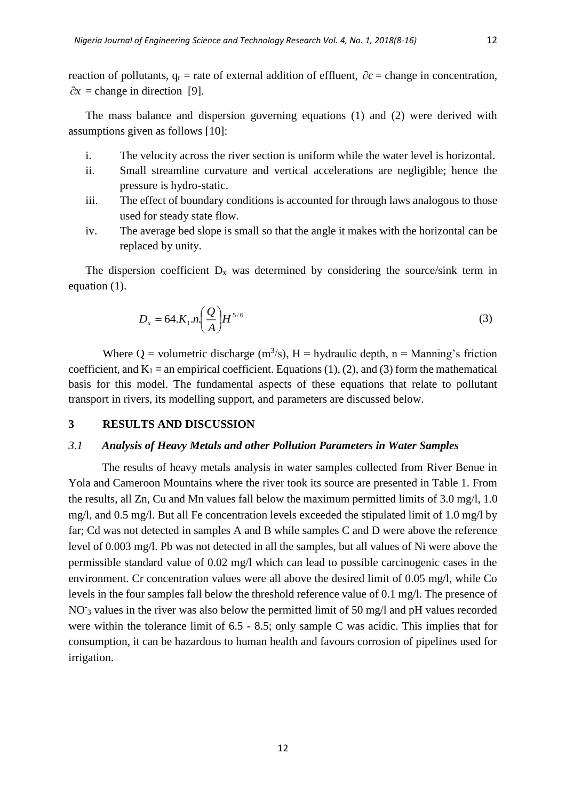reaction of pollutants,  $q_r$  = rate of external addition of effluent,  $\partial c$  = change in concentration,  $\partial x$  = change in direction [9].

The mass balance and dispersion governing equations (1) and (2) were derived with assumptions given as follows [10]:

- i. The velocity across the river section is uniform while the water level is horizontal.
- ii. Small streamline curvature and vertical accelerations are negligible; hence the pressure is hydro-static.
- iii. The effect of boundary conditions is accounted for through laws analogous to those used for steady state flow.
- iv. The average bed slope is small so that the angle it makes with the horizontal can be replaced by unity.

The dispersion coefficient  $D_x$  was determined by considering the source/sink term in equation (1).

$$
D_x = 64.K_1.n \left(\frac{Q}{A}\right) H^{5/6}
$$
 (3)

Where Q = volumetric discharge  $(m^3/s)$ , H = hydraulic depth, n = Manning's friction coefficient, and  $K_1$  = an empirical coefficient. Equations (1), (2), and (3) form the mathematical basis for this model. The fundamental aspects of these equations that relate to pollutant transport in rivers, its modelling support, and parameters are discussed below.

#### **3 RESULTS AND DISCUSSION**

#### *3.1 Analysis of Heavy Metals and other Pollution Parameters in Water Samples*

The results of heavy metals analysis in water samples collected from River Benue in Yola and Cameroon Mountains where the river took its source are presented in Table 1. From the results, all Zn, Cu and Mn values fall below the maximum permitted limits of 3.0 mg/l, 1.0 mg/l, and 0.5 mg/l. But all Fe concentration levels exceeded the stipulated limit of 1.0 mg/l by far; Cd was not detected in samples A and B while samples C and D were above the reference level of 0.003 mg/l. Pb was not detected in all the samples, but all values of Ni were above the permissible standard value of 0.02 mg/l which can lead to possible carcinogenic cases in the environment. Cr concentration values were all above the desired limit of 0.05 mg/l, while Co levels in the four samples fall below the threshold reference value of 0.1 mg/l. The presence of NO<sub>3</sub> values in the river was also below the permitted limit of 50 mg/l and pH values recorded were within the tolerance limit of 6.5 - 8.5; only sample C was acidic. This implies that for consumption, it can be hazardous to human health and favours corrosion of pipelines used for irrigation.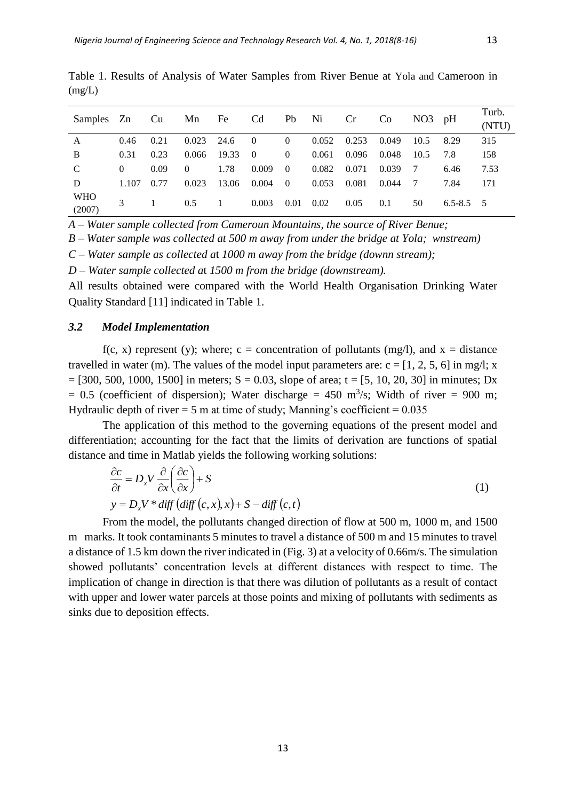| Samples Zn           |          | Cu   | Mn       | Fe    | C <sub>d</sub> | Pb             | Ni    | Cr    | Co    | NO3  | pH            | Turb. |
|----------------------|----------|------|----------|-------|----------------|----------------|-------|-------|-------|------|---------------|-------|
|                      |          |      |          |       |                |                |       |       |       |      |               | (NTU) |
| A                    | 0.46     | 0.21 | 0.023    | 24.6  | $\overline{0}$ | $\overline{0}$ | 0.052 | 0.253 | 0.049 | 10.5 | 8.29          | 315   |
| B                    | 0.31     | 0.23 | 0.066    | 19.33 | $\overline{0}$ | $\overline{0}$ | 0.061 | 0.096 | 0.048 | 10.5 | 7.8           | 158   |
| C                    | $\Omega$ | 0.09 | $\theta$ | 1.78  | 0.009          | $\Omega$       | 0.082 | 0.071 | 0.039 | -7   | 6.46          | 7.53  |
| D                    | 1.107    | 0.77 | 0.023    | 13.06 | 0.004          | $\bf{0}$       | 0.053 | 0.081 | 0.044 | - 7  | 7.84          | 171   |
| <b>WHO</b><br>(2007) |          |      | 0.5      |       | 0.003          | 0.01           | 0.02  | 0.05  | 0.1   | 50   | $6.5 - 8.5$ 5 |       |

Table 1. Results of Analysis of Water Samples from River Benue at Yola and Cameroon in (mg/L)

*A – Water sample collected from Cameroun Mountains, the source of River Benue;* 

*B – Water sample was collected at 500 m away from under the bridge at Yola; wnstream)*

*C – Water sample as collected a*t *1000 m away from the bridge (downn stream);* 

*D – Water sample collected a*t *1500 m from the bridge (downstream).* 

All results obtained were compared with the World Health Organisation Drinking Water Quality Standard [11] indicated in Table 1.

#### *3.2 Model Implementation*

f(c, x) represent (y); where; c = concentration of pollutants (mg/l), and  $x =$  distance travelled in water (m). The values of the model input parameters are:  $c = [1, 2, 5, 6]$  in mg/l; x  $=$  [300, 500, 1000, 1500] in meters; S = 0.03, slope of area; t = [5, 10, 20, 30] in minutes; Dx  $= 0.5$  (coefficient of dispersion); Water discharge  $= 450$  m<sup>3</sup>/s; Width of river  $= 900$  m; Hydraulic depth of river  $= 5$  m at time of study; Manning's coefficient  $= 0.035$ 

The application of this method to the governing equations of the present model and differentiation; accounting for the fact that the limits of derivation are functions of spatial distance and time in Matlab yields the following working solutions:

$$
\frac{\partial c}{\partial t} = D_x V \frac{\partial}{\partial x} \left( \frac{\partial c}{\partial x} \right) + S \ny = D_x V * diff \left( diff \left( c, x \right), x \right) + S - diff \left( c, t \right)
$$
\n(1)

From the model, the pollutants changed direction of flow at 500 m, 1000 m, and 1500 m marks. It took contaminants 5 minutes to travel a distance of 500 m and 15 minutes to travel a distance of 1.5 km down the river indicated in (Fig. 3) at a velocity of 0.66m/s. The simulation showed pollutants' concentration levels at different distances with respect to time. The implication of change in direction is that there was dilution of pollutants as a result of contact with upper and lower water parcels at those points and mixing of pollutants with sediments as sinks due to deposition effects.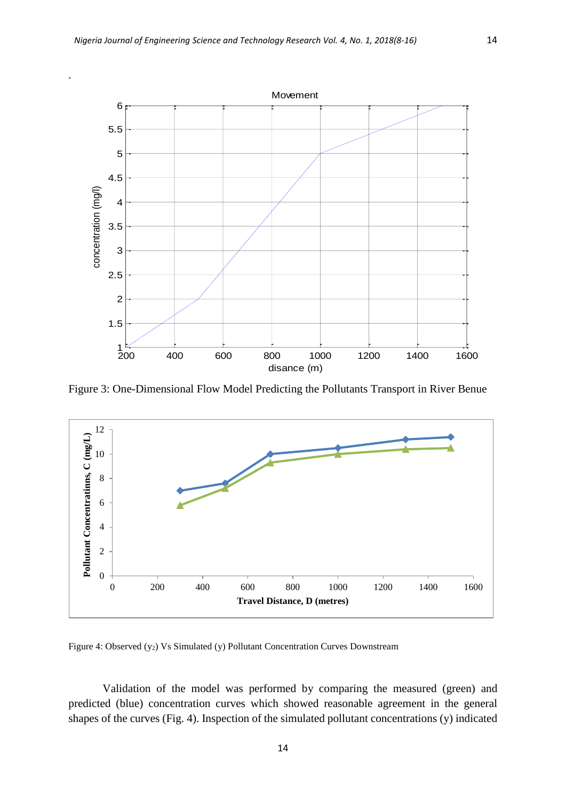.



Figure 3: One-Dimensional Flow Model Predicting the Pollutants Transport in River Benue



Figure 4: Observed (y<sub>2</sub>) Vs Simulated (y) Pollutant Concentration Curves Downstream

Validation of the model was performed by comparing the measured (green) and predicted (blue) concentration curves which showed reasonable agreement in the general shapes of the curves (Fig. 4). Inspection of the simulated pollutant concentrations (y) indicated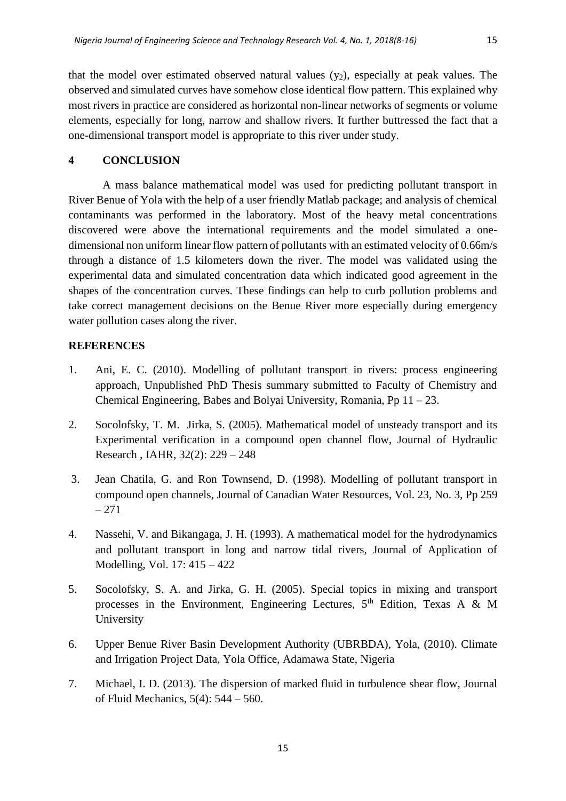that the model over estimated observed natural values  $(y_2)$ , especially at peak values. The observed and simulated curves have somehow close identical flow pattern. This explained why most rivers in practice are considered as horizontal non-linear networks of segments or volume elements, especially for long, narrow and shallow rivers. It further buttressed the fact that a one-dimensional transport model is appropriate to this river under study.

#### **4 CONCLUSION**

A mass balance mathematical model was used for predicting pollutant transport in River Benue of Yola with the help of a user friendly Matlab package; and analysis of chemical contaminants was performed in the laboratory. Most of the heavy metal concentrations discovered were above the international requirements and the model simulated a onedimensional non uniform linear flow pattern of pollutants with an estimated velocity of 0.66m/s through a distance of 1.5 kilometers down the river. The model was validated using the experimental data and simulated concentration data which indicated good agreement in the shapes of the concentration curves. These findings can help to curb pollution problems and take correct management decisions on the Benue River more especially during emergency water pollution cases along the river.

#### **REFERENCES**

- 1. Ani, E. C. (2010). Modelling of pollutant transport in rivers: process engineering approach, Unpublished PhD Thesis summary submitted to Faculty of Chemistry and Chemical Engineering, Babes and Bolyai University, Romania, Pp 11 – 23.
- 2. Socolofsky, T. M. Jirka, S. (2005). Mathematical model of unsteady transport and its Experimental verification in a compound open channel flow, Journal of Hydraulic Research , IAHR, 32(2): 229 – 248
- 3. Jean Chatila, G. and Ron Townsend, D. (1998). Modelling of pollutant transport in compound open channels, Journal of Canadian Water Resources, Vol. 23, No. 3, Pp 259 – 271
- 4. Nassehi, V. and Bikangaga, J. H. (1993). A mathematical model for the hydrodynamics and pollutant transport in long and narrow tidal rivers, Journal of Application of Modelling, Vol. 17: 415 – 422
- 5. Socolofsky, S. A. and Jirka, G. H. (2005). Special topics in mixing and transport processes in the Environment, Engineering Lectures,  $5<sup>th</sup>$  Edition, Texas A & M University
- 6. Upper Benue River Basin Development Authority (UBRBDA), Yola, (2010). Climate and Irrigation Project Data, Yola Office, Adamawa State, Nigeria
- 7. Michael, I. D. (2013). The dispersion of marked fluid in turbulence shear flow, Journal of Fluid Mechanics, 5(4): 544 – 560.